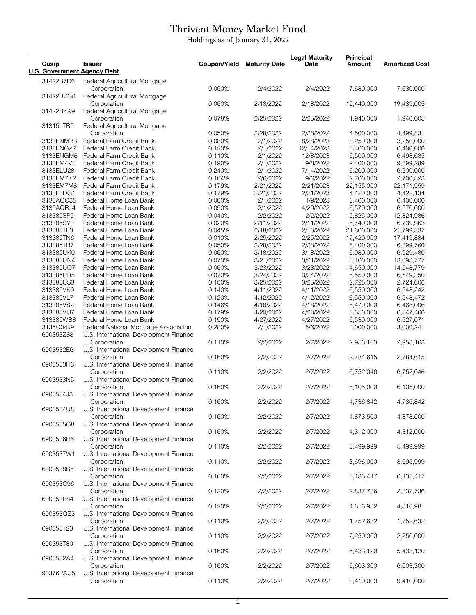## Thrivent Money Market Fund

Holdings as of January 31, 2022

| Cusip                              | <b>Issuer</b>                                         | Coupon/Yield | <b>Maturity Date</b> | <b>Legal Maturity</b><br><b>Date</b> | <b>Principal</b><br><b>Amount</b> | <b>Amortized Cost</b> |
|------------------------------------|-------------------------------------------------------|--------------|----------------------|--------------------------------------|-----------------------------------|-----------------------|
| <b>U.S. Government Agency Debt</b> |                                                       |              |                      |                                      |                                   |                       |
| 31422B7D6                          | Federal Agricultural Mortgage                         |              |                      |                                      |                                   |                       |
|                                    | Corporation                                           | 0.050%       | 2/4/2022             | 2/4/2022                             | 7,630,000                         | 7,630,000             |
| 31422BZG8                          | Federal Agricultural Mortgage                         |              |                      |                                      |                                   |                       |
|                                    | Corporation                                           | 0.060%       | 2/18/2022            | 2/18/2022                            | 19.440.000                        | 19,439,005            |
| 31422BZK9                          | Federal Agricultural Mortgage                         |              |                      |                                      |                                   |                       |
|                                    | Corporation                                           | 0.078%       | 2/25/2022            | 2/25/2022                            | 1,940,000                         | 1,940,005             |
| 31315LTR9                          | Federal Agricultural Mortgage                         |              |                      |                                      |                                   |                       |
|                                    | Corporation                                           | 0.050%       | 2/28/2022            | 2/28/2022                            | 4,500,000                         | 4,499,831             |
| 3133ENMB3                          | Federal Farm Credit Bank                              | 0.080%       | 2/1/2022             | 8/28/2023                            | 3,250,000                         | 3,250,000             |
| 3133ENGZ7                          | Federal Farm Credit Bank                              | 0.120%       | 2/1/2022             | 12/14/2023                           | 6,400,000                         | 6,400,000             |
| 3133ENGM6                          | Federal Farm Credit Bank                              | 0.110%       | 2/1/2022             | 12/8/2023                            | 6,500,000                         | 6,498,685             |
| 3133EM4V1                          | Federal Farm Credit Bank                              | 0.190%       | 2/1/2022             | 9/8/2022                             | 9,400,000                         | 9,399,289             |
| 3133ELU28                          | Federal Farm Credit Bank                              | 0.240%       | 2/1/2022             | 7/14/2022                            | 6,200,000                         | 6,200,000             |
|                                    |                                                       |              |                      |                                      |                                   |                       |
| 3133EM7K2                          | Federal Farm Credit Bank                              | 0.184%       | 2/6/2022             | 9/6/2022                             | 2,700,000                         | 2,700,823             |
| 3133EM7M8                          | Federal Farm Credit Bank                              | 0.179%       | 2/21/2022            | 2/21/2023                            | 22,155,000                        | 22,171,959            |
| 3133EJDG1                          | Federal Farm Credit Bank                              | 0.179%       | 2/21/2022            | 2/21/2023                            | 4,420,000                         | 4,422,134             |
| 3130AQC35                          | Federal Home Loan Bank                                | 0.080%       | 2/1/2022             | 1/9/2023                             | 6,400,000                         | 6,400,000             |
| 3130AQRJ4                          | Federal Home Loan Bank                                | 0.050%       | 2/1/2022             | 4/29/2022                            | 6,570,000                         | 6,570,000             |
| 313385SP2                          | Federal Home Loan Bank                                | 0.040%       | 2/2/2022             | 2/2/2022                             | 12,825,000                        | 12,824,986            |
| 313385SY3                          | Federal Home Loan Bank                                | 0.020%       | 2/11/2022            | 2/11/2022                            | 6,740,000                         | 6,739,963             |
| 313385TF3                          | Federal Home Loan Bank                                | 0.045%       | 2/18/2022            | 2/18/2022                            | 21,800,000                        | 21,799,537            |
| 313385TN6                          | Federal Home Loan Bank                                | 0.010%       | 2/25/2022            | 2/25/2022                            | 17,420,000                        | 17,419,884            |
| 313385TR7                          | Federal Home Loan Bank                                | 0.050%       | 2/28/2022            | 2/28/2022                            | 6,400,000                         | 6,399,760             |
| 313385UK0                          | Federal Home Loan Bank                                | 0.060%       | 3/18/2022            | 3/18/2022                            | 6,930,000                         | 6,929,480             |
| 313385UN4                          | Federal Home Loan Bank                                | 0.070%       | 3/21/2022            | 3/21/2022                            | 13,100,000                        | 13,098,777            |
| 313385UQ7                          | Federal Home Loan Bank                                | 0.060%       | 3/23/2022            | 3/23/2022                            | 14,650,000                        | 14,648,779            |
| 313385UR5                          | Federal Home Loan Bank                                | 0.070%       | 3/24/2022            | 3/24/2022                            | 6,550,000                         | 6,549,350             |
| 313385US3                          | Federal Home Loan Bank                                | 0.100%       | 3/25/2022            | 3/25/2022                            | 2,725,000                         | 2,724,606             |
| 313385VK9                          | Federal Home Loan Bank                                | 0.140%       | 4/11/2022            | 4/11/2022                            | 6,550,000                         | 6,548,242             |
| 313385VL7                          | Federal Home Loan Bank                                | 0.120%       | 4/12/2022            | 4/12/2022                            | 6,550,000                         | 6,548,472             |
|                                    |                                                       |              |                      |                                      |                                   |                       |
| 313385VS2                          | Federal Home Loan Bank                                | 0.146%       | 4/18/2022            | 4/18/2022                            | 6,470,000                         | 6,468,006             |
| 313385VU7                          | Federal Home Loan Bank                                | 0.179%       | 4/20/2022            | 4/20/2022                            | 6,550,000                         | 6,547,460             |
| 313385WB8                          | Federal Home Loan Bank                                | 0.190%       | 4/27/2022            | 4/27/2022                            | 6,530,000                         | 6,527,071             |
| 3135G04J9                          | Federal National Mortgage Association                 | 0.280%       | 2/1/2022             | 5/6/2022                             | 3,000,000                         | 3,000,241             |
| 690353Z83                          | U.S. International Development Finance                |              |                      |                                      |                                   |                       |
|                                    | Corporation                                           | 0.110%       | 2/2/2022             | 2/7/2022                             | 2,953,163                         | 2,953,163             |
| 6903532E6                          | U.S. International Development Finance                |              |                      |                                      |                                   |                       |
|                                    | Corporation                                           | 0.160%       | 2/2/2022             | 2/7/2022                             | 2,784,615                         | 2,784,615             |
| 6903533H8                          | U.S. International Development Finance                |              |                      |                                      |                                   |                       |
|                                    | Corporation                                           | 0.110%       | 2/2/2022             | 2/7/2022                             | 6,752,046                         | 6,752,046             |
| 6903533N5                          | U.S. International Development Finance                |              |                      |                                      |                                   |                       |
|                                    | Corporation                                           | 0.160%       | 2/2/2022             | 2/7/2022                             | 6,105,000                         | 6,105,000             |
| 6903534J3                          | U.S. International Development Finance                |              |                      |                                      |                                   |                       |
|                                    | Corporation                                           | 0.160%       | 2/2/2022             | 2/7/2022                             | 4,736,842                         | 4,736,842             |
| 6903534U8                          | U.S. International Development Finance                |              |                      |                                      |                                   |                       |
|                                    | Corporation                                           | 0.160%       | 2/2/2022             | 2/7/2022                             | 4,873,500                         | 4,873,500             |
| 6903535G8                          | U.S. International Development Finance                |              |                      |                                      |                                   |                       |
|                                    |                                                       | 0.160%       | 2/2/2022             | 2/7/2022                             | 4,312,000                         | 4,312,000             |
| 6903536H5<br>6903537W1             | Corporation<br>U.S. International Development Finance |              |                      |                                      |                                   |                       |
|                                    |                                                       |              |                      |                                      |                                   |                       |
|                                    | Corporation                                           | 0.110%       | 2/2/2022             | 2/7/2022                             | 5,499,999                         | 5,499,999             |
|                                    | U.S. International Development Finance                |              |                      |                                      |                                   |                       |
|                                    | Corporation                                           | 0.110%       | 2/2/2022             | 2/7/2022                             | 3,696,000                         | 3,695,999             |
| 6903538B6                          | U.S. International Development Finance                |              |                      |                                      |                                   |                       |
|                                    | Corporation                                           | 0.160%       | 2/2/2022             | 2/7/2022                             | 6,135,417                         | 6,135,417             |
| 690353C96                          | U.S. International Development Finance                |              |                      |                                      |                                   |                       |
|                                    | Corporation                                           | 0.120%       | 2/2/2022             | 2/7/2022                             | 2,837,736                         | 2,837,736             |
| 690353P84                          | U.S. International Development Finance                |              |                      |                                      |                                   |                       |
|                                    | Corporation                                           | 0.120%       | 2/2/2022             | 2/7/2022                             | 4,316,982                         | 4,316,981             |
| 690353QZ3                          | U.S. International Development Finance                |              |                      |                                      |                                   |                       |
|                                    | Corporation                                           | 0.110%       | 2/2/2022             | 2/7/2022                             | 1,752,632                         | 1,752,632             |
| 690353T23                          | U.S. International Development Finance                |              |                      |                                      |                                   |                       |
|                                    | Corporation                                           | 0.110%       | 2/2/2022             | 2/7/2022                             | 2,250,000                         | 2,250,000             |
| 690353T80                          | U.S. International Development Finance                |              |                      |                                      |                                   |                       |
|                                    | Corporation                                           | 0.160%       | 2/2/2022             | 2/7/2022                             | 5,433,120                         | 5,433,120             |
| 6903532A4                          | U.S. International Development Finance                |              |                      |                                      |                                   |                       |
|                                    |                                                       |              |                      |                                      |                                   |                       |
|                                    | Corporation                                           | 0.160%       | 2/2/2022             | 2/7/2022                             | 6,603,300                         | 6,603,300             |
| 90376PAU5                          | U.S. International Development Finance                |              |                      |                                      |                                   |                       |
|                                    | Corporation                                           | 0.110%       | 2/2/2022             | 2/7/2022                             | 9,410,000                         | 9,410,000             |